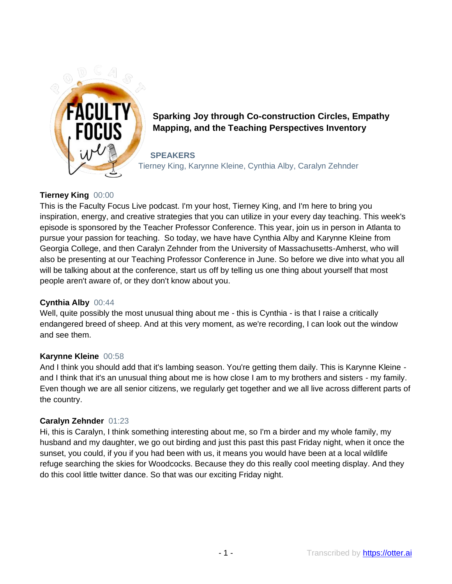

# **Sparking Joy through Co-construction Circles, Empathy Mapping, and the Teaching Perspectives Inventory**

**SPEAKERS** Tierney King, Karynne Kleine, Cynthia Alby, Caralyn Zehnder

## **Tierney King** 00:00

This is the Faculty Focus Live podcast. I'm your host, Tierney King, and I'm here to bring you inspiration, energy, and creative strategies that you can utilize in your every day teaching. This week's episode is sponsored by the Teacher Professor Conference. This year, join us in person in Atlanta to pursue your passion for teaching. So today, we have have Cynthia Alby and Karynne Kleine from Georgia College, and then Caralyn Zehnder from the University of Massachusetts-Amherst, who will also be presenting at our Teaching Professor Conference in June. So before we dive into what you all will be talking about at the conference, start us off by telling us one thing about yourself that most people aren't aware of, or they don't know about you.

## **Cynthia Alby** 00:44

Well, quite possibly the most unusual thing about me - this is Cynthia - is that I raise a critically endangered breed of sheep. And at this very moment, as we're recording, I can look out the window and see them.

## **Karynne Kleine** 00:58

And I think you should add that it's lambing season. You're getting them daily. This is Karynne Kleine and I think that it's an unusual thing about me is how close I am to my brothers and sisters - my family. Even though we are all senior citizens, we regularly get together and we all live across different parts of the country.

## **Caralyn Zehnder** 01:23

Hi, this is Caralyn, I think something interesting about me, so I'm a birder and my whole family, my husband and my daughter, we go out birding and just this past this past Friday night, when it once the sunset, you could, if you if you had been with us, it means you would have been at a local wildlife refuge searching the skies for Woodcocks. Because they do this really cool meeting display. And they do this cool little twitter dance. So that was our exciting Friday night.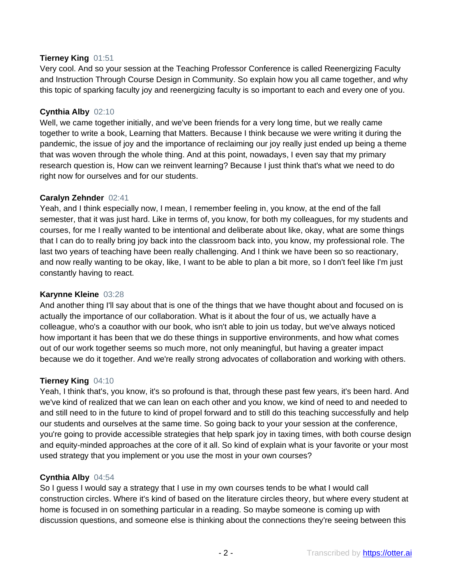### **Tierney King** 01:51

Very cool. And so your session at the Teaching Professor Conference is called Reenergizing Faculty and Instruction Through Course Design in Community. So explain how you all came together, and why this topic of sparking faculty joy and reenergizing faculty is so important to each and every one of you.

### **Cynthia Alby** 02:10

Well, we came together initially, and we've been friends for a very long time, but we really came together to write a book, Learning that Matters. Because I think because we were writing it during the pandemic, the issue of joy and the importance of reclaiming our joy really just ended up being a theme that was woven through the whole thing. And at this point, nowadays, I even say that my primary research question is, How can we reinvent learning? Because I just think that's what we need to do right now for ourselves and for our students.

#### **Caralyn Zehnder** 02:41

Yeah, and I think especially now, I mean, I remember feeling in, you know, at the end of the fall semester, that it was just hard. Like in terms of, you know, for both my colleagues, for my students and courses, for me I really wanted to be intentional and deliberate about like, okay, what are some things that I can do to really bring joy back into the classroom back into, you know, my professional role. The last two years of teaching have been really challenging. And I think we have been so so reactionary, and now really wanting to be okay, like, I want to be able to plan a bit more, so I don't feel like I'm just constantly having to react.

#### **Karynne Kleine** 03:28

And another thing I'll say about that is one of the things that we have thought about and focused on is actually the importance of our collaboration. What is it about the four of us, we actually have a colleague, who's a coauthor with our book, who isn't able to join us today, but we've always noticed how important it has been that we do these things in supportive environments, and how what comes out of our work together seems so much more, not only meaningful, but having a greater impact because we do it together. And we're really strong advocates of collaboration and working with others.

#### **Tierney King** 04:10

Yeah, I think that's, you know, it's so profound is that, through these past few years, it's been hard. And we've kind of realized that we can lean on each other and you know, we kind of need to and needed to and still need to in the future to kind of propel forward and to still do this teaching successfully and help our students and ourselves at the same time. So going back to your your session at the conference, you're going to provide accessible strategies that help spark joy in taxing times, with both course design and equity-minded approaches at the core of it all. So kind of explain what is your favorite or your most used strategy that you implement or you use the most in your own courses?

#### **Cynthia Alby** 04:54

So I guess I would say a strategy that I use in my own courses tends to be what I would call construction circles. Where it's kind of based on the literature circles theory, but where every student at home is focused in on something particular in a reading. So maybe someone is coming up with discussion questions, and someone else is thinking about the connections they're seeing between this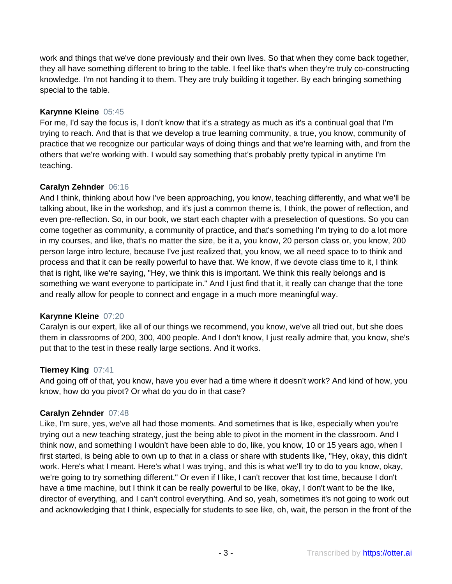work and things that we've done previously and their own lives. So that when they come back together, they all have something different to bring to the table. I feel like that's when they're truly co-constructing knowledge. I'm not handing it to them. They are truly building it together. By each bringing something special to the table.

### **Karynne Kleine** 05:45

For me, I'd say the focus is, I don't know that it's a strategy as much as it's a continual goal that I'm trying to reach. And that is that we develop a true learning community, a true, you know, community of practice that we recognize our particular ways of doing things and that we're learning with, and from the others that we're working with. I would say something that's probably pretty typical in anytime I'm teaching.

## **Caralyn Zehnder** 06:16

And I think, thinking about how I've been approaching, you know, teaching differently, and what we'll be talking about, like in the workshop, and it's just a common theme is, I think, the power of reflection, and even pre-reflection. So, in our book, we start each chapter with a preselection of questions. So you can come together as community, a community of practice, and that's something I'm trying to do a lot more in my courses, and like, that's no matter the size, be it a, you know, 20 person class or, you know, 200 person large intro lecture, because I've just realized that, you know, we all need space to to think and process and that it can be really powerful to have that. We know, if we devote class time to it, I think that is right, like we're saying, "Hey, we think this is important. We think this really belongs and is something we want everyone to participate in." And I just find that it, it really can change that the tone and really allow for people to connect and engage in a much more meaningful way.

## **Karynne Kleine** 07:20

Caralyn is our expert, like all of our things we recommend, you know, we've all tried out, but she does them in classrooms of 200, 300, 400 people. And I don't know, I just really admire that, you know, she's put that to the test in these really large sections. And it works.

#### **Tierney King** 07:41

And going off of that, you know, have you ever had a time where it doesn't work? And kind of how, you know, how do you pivot? Or what do you do in that case?

## **Caralyn Zehnder** 07:48

Like, I'm sure, yes, we've all had those moments. And sometimes that is like, especially when you're trying out a new teaching strategy, just the being able to pivot in the moment in the classroom. And I think now, and something I wouldn't have been able to do, like, you know, 10 or 15 years ago, when I first started, is being able to own up to that in a class or share with students like, "Hey, okay, this didn't work. Here's what I meant. Here's what I was trying, and this is what we'll try to do to you know, okay, we're going to try something different." Or even if I like, I can't recover that lost time, because I don't have a time machine, but I think it can be really powerful to be like, okay, I don't want to be the like, director of everything, and I can't control everything. And so, yeah, sometimes it's not going to work out and acknowledging that I think, especially for students to see like, oh, wait, the person in the front of the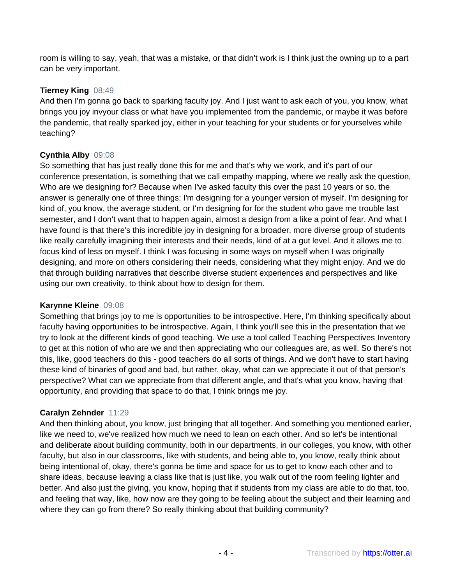room is willing to say, yeah, that was a mistake, or that didn't work is I think just the owning up to a part can be very important.

### **Tierney King** 08:49

And then I'm gonna go back to sparking faculty joy. And I just want to ask each of you, you know, what brings you joy invyour class or what have you implemented from the pandemic, or maybe it was before the pandemic, that really sparked joy, either in your teaching for your students or for yourselves while teaching?

## **Cynthia Alby** 09:08

So something that has just really done this for me and that's why we work, and it's part of our conference presentation, is something that we call empathy mapping, where we really ask the question, Who are we designing for? Because when I've asked faculty this over the past 10 years or so, the answer is generally one of three things: I'm designing for a younger version of myself. I'm designing for kind of, you know, the average student, or I'm designing for for the student who gave me trouble last semester, and I don't want that to happen again, almost a design from a like a point of fear. And what I have found is that there's this incredible joy in designing for a broader, more diverse group of students like really carefully imagining their interests and their needs, kind of at a gut level. And it allows me to focus kind of less on myself. I think I was focusing in some ways on myself when I was originally designing, and more on others considering their needs, considering what they might enjoy. And we do that through building narratives that describe diverse student experiences and perspectives and like using our own creativity, to think about how to design for them.

#### **Karynne Kleine** 09:08

Something that brings joy to me is opportunities to be introspective. Here, I'm thinking specifically about faculty having opportunities to be introspective. Again, I think you'll see this in the presentation that we try to look at the different kinds of good teaching. We use a tool called Teaching Perspectives Inventory to get at this notion of who are we and then appreciating who our colleagues are, as well. So there's not this, like, good teachers do this - good teachers do all sorts of things. And we don't have to start having these kind of binaries of good and bad, but rather, okay, what can we appreciate it out of that person's perspective? What can we appreciate from that different angle, and that's what you know, having that opportunity, and providing that space to do that, I think brings me joy.

#### **Caralyn Zehnder** 11:29

And then thinking about, you know, just bringing that all together. And something you mentioned earlier, like we need to, we've realized how much we need to lean on each other. And so let's be intentional and deliberate about building community, both in our departments, in our colleges, you know, with other faculty, but also in our classrooms, like with students, and being able to, you know, really think about being intentional of, okay, there's gonna be time and space for us to get to know each other and to share ideas, because leaving a class like that is just like, you walk out of the room feeling lighter and better. And also just the giving, you know, hoping that if students from my class are able to do that, too, and feeling that way, like, how now are they going to be feeling about the subject and their learning and where they can go from there? So really thinking about that building community?